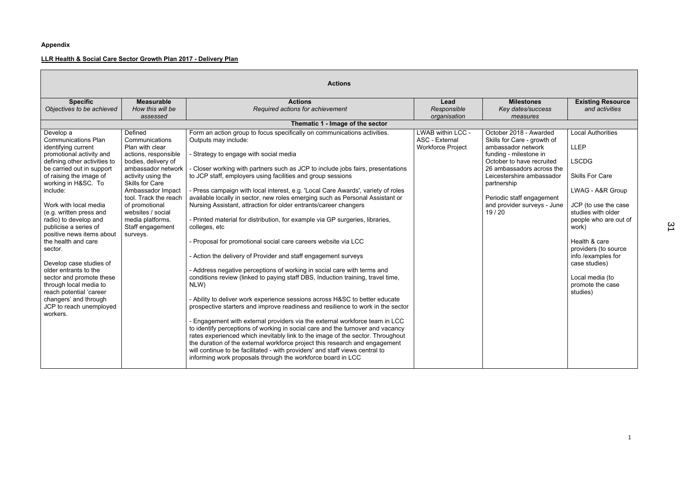# **Appendix**

Н

# **LLR Health & Social Care Sector Growth Plan 2017 - Delivery Plan**

| <b>Actions</b>                                                                                                                                                                                                                                                                                                                                                                                                                                                                                                                                                                                  |                                                                                                                                                                                                                                                                                                            |                                                                                                                                                                                                                                                                                                                                                                                                                                                                                                                                                                                                                                                                                                                                                                                                                                                                                                                                                                                                                                                                                                                                                                                                                                                                                                                                                                                                                                                                                                                                                                                                      |                                                                 |                                                                                                                                                                                                                                                                                  |                                                                                                                                                                                                                                                                                                                          |
|-------------------------------------------------------------------------------------------------------------------------------------------------------------------------------------------------------------------------------------------------------------------------------------------------------------------------------------------------------------------------------------------------------------------------------------------------------------------------------------------------------------------------------------------------------------------------------------------------|------------------------------------------------------------------------------------------------------------------------------------------------------------------------------------------------------------------------------------------------------------------------------------------------------------|------------------------------------------------------------------------------------------------------------------------------------------------------------------------------------------------------------------------------------------------------------------------------------------------------------------------------------------------------------------------------------------------------------------------------------------------------------------------------------------------------------------------------------------------------------------------------------------------------------------------------------------------------------------------------------------------------------------------------------------------------------------------------------------------------------------------------------------------------------------------------------------------------------------------------------------------------------------------------------------------------------------------------------------------------------------------------------------------------------------------------------------------------------------------------------------------------------------------------------------------------------------------------------------------------------------------------------------------------------------------------------------------------------------------------------------------------------------------------------------------------------------------------------------------------------------------------------------------------|-----------------------------------------------------------------|----------------------------------------------------------------------------------------------------------------------------------------------------------------------------------------------------------------------------------------------------------------------------------|--------------------------------------------------------------------------------------------------------------------------------------------------------------------------------------------------------------------------------------------------------------------------------------------------------------------------|
| <b>Specific</b><br>Objectives to be achieved                                                                                                                                                                                                                                                                                                                                                                                                                                                                                                                                                    | <b>Measurable</b><br>How this will be<br>assessed                                                                                                                                                                                                                                                          | <b>Actions</b><br>Required actions for achievement                                                                                                                                                                                                                                                                                                                                                                                                                                                                                                                                                                                                                                                                                                                                                                                                                                                                                                                                                                                                                                                                                                                                                                                                                                                                                                                                                                                                                                                                                                                                                   | Lead<br>Responsible<br>organisation                             | <b>Milestones</b><br>Key dates/success<br>measures                                                                                                                                                                                                                               | <b>Existing Resource</b><br>and activities                                                                                                                                                                                                                                                                               |
|                                                                                                                                                                                                                                                                                                                                                                                                                                                                                                                                                                                                 |                                                                                                                                                                                                                                                                                                            | Thematic 1 - Image of the sector                                                                                                                                                                                                                                                                                                                                                                                                                                                                                                                                                                                                                                                                                                                                                                                                                                                                                                                                                                                                                                                                                                                                                                                                                                                                                                                                                                                                                                                                                                                                                                     |                                                                 |                                                                                                                                                                                                                                                                                  |                                                                                                                                                                                                                                                                                                                          |
| Develop a<br><b>Communications Plan</b><br>identifying current<br>promotional activity and<br>defining other activities to<br>be carried out in support<br>of raising the image of<br>working in H&SC. To<br>include:<br>Work with local media<br>(e.g. written press and<br>radio) to develop and<br>publicise a series of<br>positive news items about<br>the health and care<br>sector.<br>Develop case studies of<br>older entrants to the<br>sector and promote these<br>through local media to<br>reach potential 'career<br>changers' and through<br>JCP to reach unemployed<br>workers. | Defined<br>Communications<br>Plan with clear<br>actions, responsible<br>bodies, delivery of<br>ambassador network<br>activity using the<br><b>Skills for Care</b><br>Ambassador Impact<br>tool. Track the reach<br>of promotional<br>websites / social<br>media platforms.<br>Staff engagement<br>surveys. | Form an action group to focus specifically on communications activities.<br>Outputs may include:<br>- Strategy to engage with social media<br>- Closer working with partners such as JCP to include jobs fairs, presentations<br>to JCP staff, employers using facilities and group sessions<br>- Press campaign with local interest, e.g. 'Local Care Awards', variety of roles<br>available locally in sector, new roles emerging such as Personal Assistant or<br>Nursing Assistant, attraction for older entrants/career changers<br>- Printed material for distribution, for example via GP surgeries, libraries,<br>colleges, etc<br>- Proposal for promotional social care careers website via LCC<br>- Action the delivery of Provider and staff engagement surveys<br>- Address negative perceptions of working in social care with terms and<br>conditions review (linked to paying staff DBS, Induction training, travel time,<br>NLW)<br>- Ability to deliver work experience sessions across H&SC to better educate<br>prospective starters and improve readiness and resilience to work in the sector<br>- Engagement with external providers via the external workforce team in LCC<br>to identify perceptions of working in social care and the turnover and vacancy<br>rates experienced which inevitably link to the image of the sector. Throughout<br>the duration of the external workforce project this research and engagement<br>will continue to be facilitated - with providers' and staff views central to<br>informing work proposals through the workforce board in LCC | LWAB within LCC -<br>ASC - External<br><b>Workforce Project</b> | October 2018 - Awarded<br>Skills for Care - growth of<br>ambassador network<br>funding - milestone in<br>October to have recruited<br>26 ambassadors across the<br>Leicestershire ambassador<br>partnership<br>Periodic staff engagement<br>and provider surveys - June<br>19/20 | <b>Local Authorities</b><br><b>LLEP</b><br><b>LSCDG</b><br><b>Skills For Care</b><br>LWAG - A&R Group<br>JCP (to use the case<br>studies with older<br>people who are out of<br>work)<br>Health & care<br>providers (to source<br>info /examples for<br>case studies)<br>Local media (to<br>promote the case<br>studies) |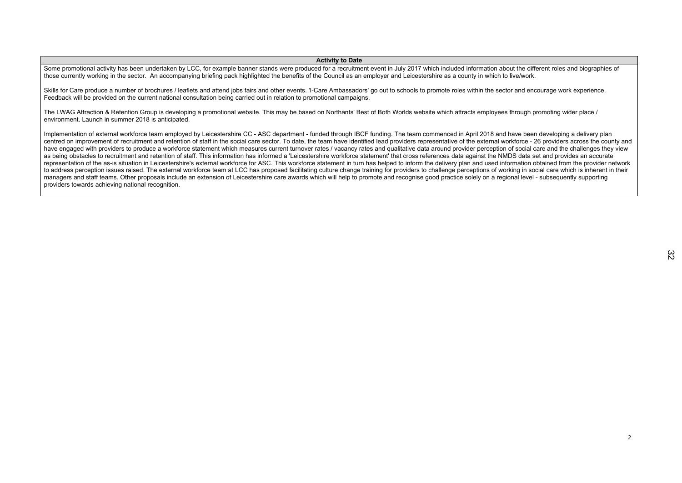## **Activity to Date**

Some promotional activity has been undertaken by LCC, for example banner stands were produced for a recruitment event in July 2017 which included information about the different roles and biographies of those currently working in the sector. An accompanying briefing pack highlighted the benefits of the Council as an employer and Leicestershire as a county in which to live/work.

Skills for Care produce a number of brochures / leaflets and attend jobs fairs and other events. 'I-Care Ambassadors' go out to schools to promote roles within the sector and encourage work experience. Feedback will be provided on the current national consultation being carried out in relation to promotional campaigns.

The LWAG Attraction & Retention Group is developing a promotional website. This may be based on Northants' Best of Both Worlds website which attracts employees through promoting wider place / environment. Launch in summer 2018 is anticipated.

Implementation of external workforce team employed by Leicestershire CC - ASC department - funded through IBCF funding. The team commenced in April 2018 and have been developing a delivery plan centred on improvement of recruitment and retention of staff in the social care sector. To date, the team have identified lead providers representative of the external workforce - 26 providers across the county and have engaged with providers to produce a workforce statement which measures current turnover rates / vacancy rates and qualitative data around provider perception of social care and the challenges they view as being obstacles to recruitment and retention of staff. This information has informed a 'Leicestershire workforce statement' that cross references data against the NMDS data set and provides an accurate representation of the as-is situation in Leicestershire's external workforce for ASC. This workforce statement in turn has helped to inform the delivery plan and used information obtained from the provider network to address perception issues raised. The external workforce team at LCC has proposed facilitating culture change training for providers to challenge perceptions of working in social care which is inherent in their managers and staff teams. Other proposals include an extension of Leicestershire care awards which will help to promote and recognise good practice solely on a regional level - subsequently supporting providers towards achieving national recognition.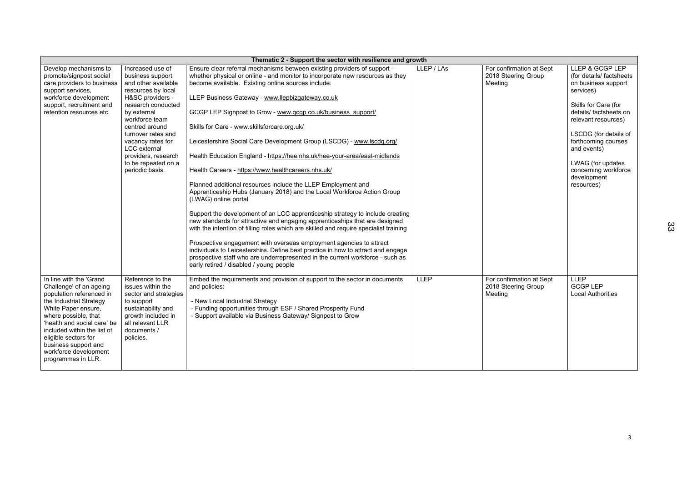|                                                                                                                                                                                                                                                                                                                       |                                                                                                                                                                                                                                                                                                                   | Thematic 2 - Support the sector with resilience and growth                                                                                                                                                                                                                                                                                                                                                                                                                                                                                                                                                                                                                                                                                                                                                                                                                                                                                                                                                                                                                                                                                                                            |             |                                                            |                                                                                                                                                                                                                                                                                                   |
|-----------------------------------------------------------------------------------------------------------------------------------------------------------------------------------------------------------------------------------------------------------------------------------------------------------------------|-------------------------------------------------------------------------------------------------------------------------------------------------------------------------------------------------------------------------------------------------------------------------------------------------------------------|---------------------------------------------------------------------------------------------------------------------------------------------------------------------------------------------------------------------------------------------------------------------------------------------------------------------------------------------------------------------------------------------------------------------------------------------------------------------------------------------------------------------------------------------------------------------------------------------------------------------------------------------------------------------------------------------------------------------------------------------------------------------------------------------------------------------------------------------------------------------------------------------------------------------------------------------------------------------------------------------------------------------------------------------------------------------------------------------------------------------------------------------------------------------------------------|-------------|------------------------------------------------------------|---------------------------------------------------------------------------------------------------------------------------------------------------------------------------------------------------------------------------------------------------------------------------------------------------|
| Develop mechanisms to<br>promote/signpost social<br>care providers to business<br>support services,<br>workforce development<br>support, recruitment and<br>retention resources etc.                                                                                                                                  | Increased use of<br>business support<br>and other available<br>resources by local<br>H&SC providers -<br>research conducted<br>by external<br>workforce team<br>centred around<br>turnover rates and<br>vacancy rates for<br><b>LCC</b> external<br>providers, research<br>to be repeated on a<br>periodic basis. | Ensure clear referral mechanisms between existing providers of support -<br>whether physical or online - and monitor to incorporate new resources as they<br>become available. Existing online sources include:<br>LLEP Business Gateway - www.llepbizgateway.co.uk<br>GCGP LEP Signpost to Grow - www.gcgp.co.uk/business support/<br>Skills for Care - www.skillsforcare.org.uk/<br>Leicestershire Social Care Development Group (LSCDG) - www.lscdg.org/<br>Health Education England - https://hee.nhs.uk/hee-your-area/east-midlands<br>Health Careers - https://www.healthcareers.nhs.uk/<br>Planned additional resources include the LLEP Employment and<br>Apprenticeship Hubs (January 2018) and the Local Workforce Action Group<br>(LWAG) online portal<br>Support the development of an LCC apprenticeship strategy to include creating<br>new standards for attractive and engaging apprenticeships that are designed<br>with the intention of filling roles which are skilled and require specialist training<br>Prospective engagement with overseas employment agencies to attract<br>individuals to Leicestershire. Define best practice in how to attract and engage | LLEP / LAs  | For confirmation at Sept<br>2018 Steering Group<br>Meeting | LLEP & GCGP LEP<br>(for details/ factsheets<br>on business support<br>services)<br>Skills for Care (for<br>details/ factsheets on<br>relevant resources)<br>LSCDG (for details of<br>forthcoming courses<br>and events)<br>LWAG (for updates<br>concerning workforce<br>development<br>resources) |
|                                                                                                                                                                                                                                                                                                                       |                                                                                                                                                                                                                                                                                                                   | prospective staff who are underrepresented in the current workforce - such as<br>early retired / disabled / young people                                                                                                                                                                                                                                                                                                                                                                                                                                                                                                                                                                                                                                                                                                                                                                                                                                                                                                                                                                                                                                                              |             |                                                            |                                                                                                                                                                                                                                                                                                   |
| In line with the 'Grand<br>Challenge' of an ageing<br>population referenced in<br>the Industrial Strategy<br>White Paper ensure,<br>where possible, that<br>'health and social care' be<br>included within the list of<br>eligible sectors for<br>business support and<br>workforce development<br>programmes in LLR. | Reference to the<br>issues within the<br>sector and strategies<br>to support<br>sustainability and<br>growth included in<br>all relevant LLR<br>documents /<br>policies.                                                                                                                                          | Embed the requirements and provision of support to the sector in documents<br>and policies:<br>- New Local Industrial Strategy<br>- Funding opportunities through ESF / Shared Prosperity Fund<br>- Support available via Business Gateway/ Signpost to Grow                                                                                                                                                                                                                                                                                                                                                                                                                                                                                                                                                                                                                                                                                                                                                                                                                                                                                                                          | <b>LLEP</b> | For confirmation at Sept<br>2018 Steering Group<br>Meeting | <b>LLEP</b><br><b>GCGP LEP</b><br><b>Local Authorities</b>                                                                                                                                                                                                                                        |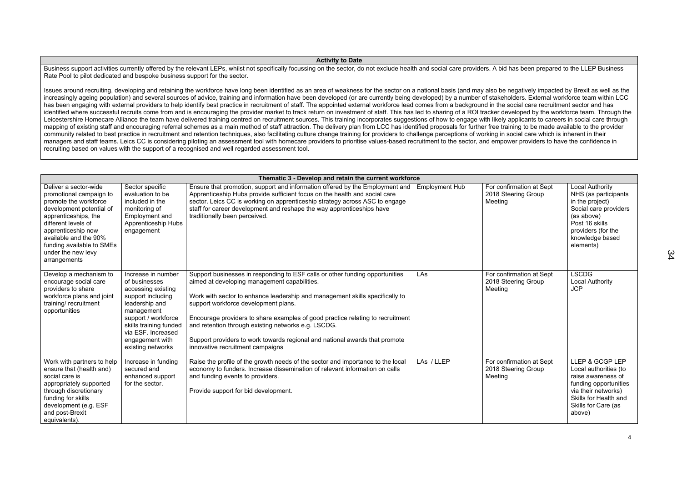### **Activity to Date**

Business support activities currently offered by the relevant LEPs, whilst not specifically focussing on the sector, do not exclude health and social care providers. A bid has been prepared to the LLEP Business Rate Pool to pilot dedicated and bespoke business support for the sector.

Issues around recruiting, developing and retaining the workforce have long been identified as an area of weakness for the sector on a national basis (and may also be negatively impacted by Brexit as well as the increasingly ageing population) and several sources of advice, training and information have been developed (or are currently being developed) by a number of stakeholders. External workforce team within LCC has been engaging with external providers to help identify best practice in recruitment of staff. The appointed external workforce lead comes from a background in the social care recruitment sector and has identified where successful recruits come from and is encouraging the provider market to track return on investment of staff. This has led to sharing of a ROI tracker developed by the workforce team. Through the Leicestershire Homecare Alliance the team have delivered training centred on recruitment sources. This training incorporates suggestions of how to engage with likely applicants to careers in social care through mapping of existing staff and encouraging referral schemes as a main method of staff attraction. The delivery plan from LCC has identified proposals for further free training to be made available to the provider community related to best practice in recruitment and retention techniques, also facilitating culture change training for providers to challenge perceptions of working in social care which is inherent in their managers and staff teams. Leics CC is considering piloting an assessment tool with homecare providers to prioritise values-based recruitment to the sector, and empower providers to have the confidence in recruiting based on values with the support of a recognised and well regarded assessment tool.

|                                                                                                                                                                                                                                                                        | Thematic 3 - Develop and retain the current workforce                                                                                                                                                                         |                                                                                                                                                                                                                                                                                                                                                                                                                                                                                                                  |                       |                                                            |                                                                                                                                                                                  |
|------------------------------------------------------------------------------------------------------------------------------------------------------------------------------------------------------------------------------------------------------------------------|-------------------------------------------------------------------------------------------------------------------------------------------------------------------------------------------------------------------------------|------------------------------------------------------------------------------------------------------------------------------------------------------------------------------------------------------------------------------------------------------------------------------------------------------------------------------------------------------------------------------------------------------------------------------------------------------------------------------------------------------------------|-----------------------|------------------------------------------------------------|----------------------------------------------------------------------------------------------------------------------------------------------------------------------------------|
| Deliver a sector-wide<br>promotional campaign to<br>promote the workforce<br>development potential of<br>apprenticeships, the<br>different levels of<br>apprenticeship now<br>available and the 90%<br>funding available to SMEs<br>under the new levy<br>arrangements | Sector specific<br>evaluation to be<br>included in the<br>monitoring of<br>Employment and<br><b>Apprenticeship Hubs</b><br>engagement                                                                                         | Ensure that promotion, support and information offered by the Employment and<br>Apprenticeship Hubs provide sufficient focus on the health and social care<br>sector. Leics CC is working on apprenticeship strategy across ASC to engage<br>staff for career development and reshape the way apprenticeships have<br>traditionally been perceived.                                                                                                                                                              | <b>Employment Hub</b> | For confirmation at Sept<br>2018 Steering Group<br>Meeting | <b>Local Authority</b><br>NHS (as participants<br>in the project)<br>Social care providers<br>(as above)<br>Post 16 skills<br>providers (for the<br>knowledge based<br>elements) |
| Develop a mechanism to<br>encourage social care<br>providers to share<br>workforce plans and joint<br>training/recruitment<br>opportunities                                                                                                                            | Increase in number<br>of businesses<br>accessing existing<br>support including<br>leadership and<br>management<br>support / workforce<br>skills training funded<br>via ESF. Increased<br>engagement with<br>existing networks | Support businesses in responding to ESF calls or other funding opportunities<br>aimed at developing management capabilities.<br>Work with sector to enhance leadership and management skills specifically to<br>support workforce development plans.<br>Encourage providers to share examples of good practice relating to recruitment<br>and retention through existing networks e.g. LSCDG.<br>Support providers to work towards regional and national awards that promote<br>innovative recruitment campaigns | LAs                   | For confirmation at Sept<br>2018 Steering Group<br>Meeting | <b>LSCDG</b><br><b>Local Authority</b><br><b>JCP</b>                                                                                                                             |
| Work with partners to help<br>ensure that (health and)<br>social care is<br>appropriately supported<br>through discretionary<br>funding for skills<br>development (e.g. ESF<br>and post-Brexit<br>equivalents).                                                        | Increase in funding<br>secured and<br>enhanced support<br>for the sector.                                                                                                                                                     | Raise the profile of the growth needs of the sector and importance to the local<br>economy to funders. Increase dissemination of relevant information on calls<br>and funding events to providers.<br>Provide support for bid development.                                                                                                                                                                                                                                                                       | LAs / LLEP            | For confirmation at Sept<br>2018 Steering Group<br>Meeting | LLEP & GCGP LEP<br>Local authorities (to<br>raise awareness of<br>funding opportunities<br>via their networks)<br>Skills for Health and<br>Skills for Care (as<br>above)         |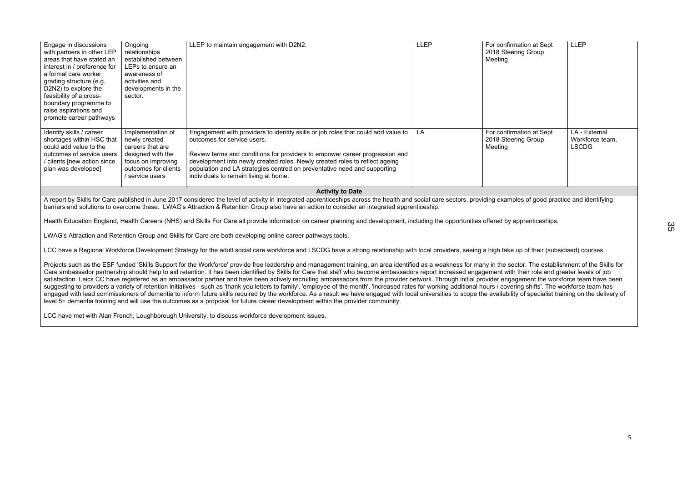| Engage in discussions<br>with partners in other LEP<br>areas that have stated an<br>interest in / preference for<br>a formal care worker<br>grading structure (e.g.<br>D2N2) to explore the<br>feasibility of a cross-<br>boundary programme to<br>raise aspirations and<br>promote career pathways | Ongoing<br>relationships<br>established between<br>LEPs to ensure an<br>awareness of<br>activities and<br>developments in the<br>sector.     | LLEP to maintain engagement with D2N2.                                                                                                                                                                                                                                                                                                                                                              | <b>LLEP</b> | For confirmation at Sept<br>2018 Steering Group<br>Meeting | <b>LLEP</b>                                      |
|-----------------------------------------------------------------------------------------------------------------------------------------------------------------------------------------------------------------------------------------------------------------------------------------------------|----------------------------------------------------------------------------------------------------------------------------------------------|-----------------------------------------------------------------------------------------------------------------------------------------------------------------------------------------------------------------------------------------------------------------------------------------------------------------------------------------------------------------------------------------------------|-------------|------------------------------------------------------------|--------------------------------------------------|
| Identify skills / career<br>shortages within HSC that<br>could add value to the<br>outcomes of service users<br>clients [new action since /<br>plan was developed]                                                                                                                                  | Implementation of<br>newly created<br>careers that are<br>designed with the<br>focus on improving<br>outcomes for clients<br>/ service users | Engagement with providers to identify skills or job roles that could add value to<br>outcomes for service users.<br>Review terms and conditions for providers to empower career progression and<br>development into newly created roles. Newly created roles to reflect ageing<br>population and LA strategies centred on preventative need and supporting<br>individuals to remain living at home. | LA          | For confirmation at Sept<br>2018 Steering Group<br>Meeting | LA - External<br>Workforce team,<br><b>LSCDG</b> |
| <b>Activity to Date</b>                                                                                                                                                                                                                                                                             |                                                                                                                                              |                                                                                                                                                                                                                                                                                                                                                                                                     |             |                                                            |                                                  |
|                                                                                                                                                                                                                                                                                                     |                                                                                                                                              | A report by Skills for Care published in June 2017 considered the level of activity in integrated apprenticeships across the health and social care sectors, providing examples of good practice and identifying<br>barriers and solutions to overcome these. LWAG's Attraction & Retention Group also have an action to consider an integrated apprenticeship.                                     |             |                                                            |                                                  |

Projects such as the ESF funded 'Skills Support for the Workforce' provide free leadership and management training, an area identified as a weakness for many in the sector. The establishment of the Skills for Care ambassador partnership should help to aid retention. It has been identified by Skills for Care that staff who become ambassadors report increased engagement with their role and greater levels of job satisfaction. Leics CC have registered as an ambassador partner and have been actively recruiting ambassadors from the provider network. Through initial provider engagement the workforce team have been suggesting to providers a variety of retention initiatives - such as 'thank you letters to family', 'employee of the month', 'increased rates for working additional hours / covering shifts'. The workforce team has under th engaged with lead commissioners of dementia to inform future skills required by the workforce. As a result we have engaged with local universities to scope the availability of specialist training on the delivery of level 5+ dementia training and will use the outcomes as a proposal for future career development within the provider community.

Health Education England, Health Careers (NHS) and Skills For Care all provide information on career planning and development, including the opportunities offered by apprenticeships.

LWAG's Attraction and Retention Group and Skills for Care are both developing online career pathways tools.

LCC have a Regional Workforce Development Strategy for the adult social care workforce and LSCDG have a strong relationship with local providers, seeing a high take up of their (subsidised) courses.

LCC have met with Alan French, Loughborough University, to discuss workforce development issues.

35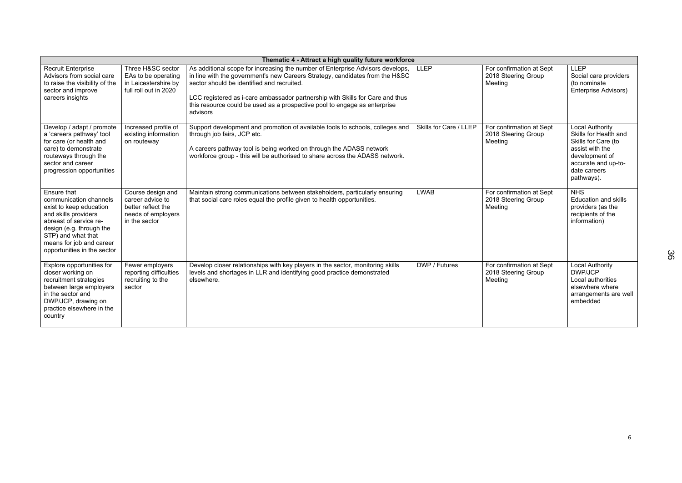|                                                                                                                                                                                                                                 | Thematic 4 - Attract a high quality future workforce                                               |                                                                                                                                                                                                                                                                                                                                                                                        |                        |                                                            |                                                                                                                                                                  |  |
|---------------------------------------------------------------------------------------------------------------------------------------------------------------------------------------------------------------------------------|----------------------------------------------------------------------------------------------------|----------------------------------------------------------------------------------------------------------------------------------------------------------------------------------------------------------------------------------------------------------------------------------------------------------------------------------------------------------------------------------------|------------------------|------------------------------------------------------------|------------------------------------------------------------------------------------------------------------------------------------------------------------------|--|
| <b>Recruit Enterprise</b><br>Advisors from social care<br>to raise the visibility of the<br>sector and improve<br>careers insights                                                                                              | Three H&SC sector<br>EAs to be operating<br>in Leicestershire by<br>full roll out in 2020          | As additional scope for increasing the number of Enterprise Advisors develops,<br>in line with the government's new Careers Strategy, candidates from the H&SC<br>sector should be identified and recruited.<br>LCC registered as i-care ambassador partnership with Skills for Care and thus<br>this resource could be used as a prospective pool to engage as enterprise<br>advisors | <b>LLEP</b>            | For confirmation at Sept<br>2018 Steering Group<br>Meeting | <b>LLEP</b><br>Social care providers<br>(to nominate)<br><b>Enterprise Advisors)</b>                                                                             |  |
| Develop / adapt / promote<br>a 'careers pathway' tool<br>for care (or health and<br>care) to demonstrate<br>routeways through the<br>sector and career<br>progression opportunities                                             | Increased profile of<br>existing information<br>on routeway                                        | Support development and promotion of available tools to schools, colleges and<br>through job fairs, JCP etc.<br>A careers pathway tool is being worked on through the ADASS network<br>workforce group - this will be authorised to share across the ADASS network.                                                                                                                    | Skills for Care / LLEP | For confirmation at Sept<br>2018 Steering Group<br>Meeting | <b>Local Authority</b><br>Skills for Health and<br>Skills for Care (to<br>assist with the<br>development of<br>accurate and up-to-<br>date careers<br>pathways). |  |
| Ensure that<br>communication channels<br>exist to keep education<br>and skills providers<br>abreast of service re-<br>design (e.g. through the<br>STP) and what that<br>means for job and career<br>opportunities in the sector | Course design and<br>career advice to<br>better reflect the<br>needs of employers<br>in the sector | Maintain strong communications between stakeholders, particularly ensuring<br>that social care roles equal the profile given to health opportunities.                                                                                                                                                                                                                                  | <b>LWAB</b>            | For confirmation at Sept<br>2018 Steering Group<br>Meeting | <b>NHS</b><br><b>Education and skills</b><br>providers (as the<br>recipients of the<br>information)                                                              |  |
| Explore opportunities for<br>closer working on<br>recruitment strategies<br>between large employers<br>in the sector and<br>DWP/JCP, drawing on<br>practice elsewhere in the<br>country                                         | Fewer employers<br>reporting difficulties<br>recruiting to the<br>sector                           | Develop closer relationships with key players in the sector, monitoring skills<br>levels and shortages in LLR and identifying good practice demonstrated<br>elsewhere.                                                                                                                                                                                                                 | DWP / Futures          | For confirmation at Sept<br>2018 Steering Group<br>Meeting | <b>Local Authority</b><br><b>DWP/JCP</b><br>Local authorities<br>elsewhere where<br>arrangements are well<br>embedded                                            |  |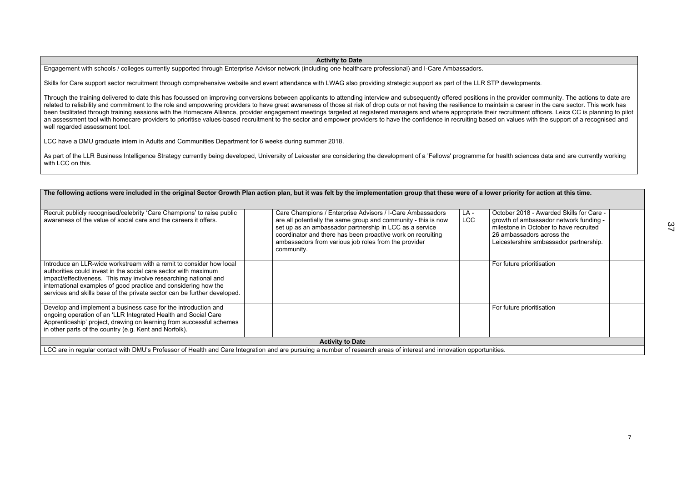## **Activity to Date**

Engagement with schools / colleges currently supported through Enterprise Advisor network (including one healthcare professional) and I-Care Ambassadors.

Skills for Care support sector recruitment through comprehensive website and event attendance with LWAG also providing strategic support as part of the LLR STP developments.

As part of the LLR Business Intelligence Strategy currently being developed, University of Leicester are considering the development of a 'Fellows' programme for health sciences data and are currently working with LCC on this.

Through the training delivered to date this has focussed on improving conversions between applicants to attending interview and subsequently offered positions in the provider community. The actions to date are related to reliability and commitment to the role and empowering providers to have great awareness of those at risk of drop outs or not having the resilience to maintain a career in the care sector. This work has been facilitated through training sessions with the Homecare Alliance, provider engagement meetings targeted at registered managers and where appropriate their recruitment officers. Leics CC is planning to pilot an assessment tool with homecare providers to prioritise values-based recruitment to the sector and empower providers to have the confidence in recruiting based on values with the support of a recognised and well regarded assessment tool.

LCC have a DMU graduate intern in Adults and Communities Department for 6 weeks during summer 2018.

|                                                                                                                                                                                                                                                                                                                                                          | The following actions were included in the original Sector Growth Plan action plan, but it was felt by the implementation group that these were of a lower priority for action at this time.                                                                                                                                |             |                                                                                                                                                                                     |
|----------------------------------------------------------------------------------------------------------------------------------------------------------------------------------------------------------------------------------------------------------------------------------------------------------------------------------------------------------|-----------------------------------------------------------------------------------------------------------------------------------------------------------------------------------------------------------------------------------------------------------------------------------------------------------------------------|-------------|-------------------------------------------------------------------------------------------------------------------------------------------------------------------------------------|
| Recruit publicly recognised/celebrity 'Care Champions' to raise public<br>awareness of the value of social care and the careers it offers.                                                                                                                                                                                                               | Care Champions / Enterprise Advisors / I-Care Ambassadors<br>are all potentially the same group and community - this is now<br>set up as an ambassador partnership in LCC as a service<br>coordinator and there has been proactive work on recruiting<br>ambassadors from various job roles from the provider<br>community. | LA -<br>LCC | October 2018 - Awarded Skills for C<br>growth of ambassador network fund<br>milestone in October to have recruit<br>26 ambassadors across the<br>Leicestershire ambassador partners |
| Introduce an LLR-wide workstream with a remit to consider how local<br>authorities could invest in the social care sector with maximum<br>impact/effectiveness. This may involve researching national and<br>international examples of good practice and considering how the<br>services and skills base of the private sector can be further developed. |                                                                                                                                                                                                                                                                                                                             |             | For future prioritisation                                                                                                                                                           |
| Develop and implement a business case for the introduction and<br>ongoing operation of an 'LLR Integrated Health and Social Care<br>Apprenticeship' project, drawing on learning from successful schemes<br>in other parts of the country (e.g. Kent and Norfolk).                                                                                       |                                                                                                                                                                                                                                                                                                                             |             | For future prioritisation                                                                                                                                                           |
|                                                                                                                                                                                                                                                                                                                                                          | <b>Activity to Date</b>                                                                                                                                                                                                                                                                                                     |             |                                                                                                                                                                                     |

| ver priority for action at this time.                                                                                                                                                               |  |
|-----------------------------------------------------------------------------------------------------------------------------------------------------------------------------------------------------|--|
|                                                                                                                                                                                                     |  |
|                                                                                                                                                                                                     |  |
| October 2018 - Awarded Skills for Care -<br>growth of ambassador network funding -<br>milestone in October to have recruited<br>26 ambassadors across the<br>Leicestershire ambassador partnership. |  |
| For future prioritisation                                                                                                                                                                           |  |
| For future prioritisation                                                                                                                                                                           |  |
|                                                                                                                                                                                                     |  |
| ities.                                                                                                                                                                                              |  |

LCC are in regular contact with DMU's Professor of Health and Care Integration and are pursuing a number of research areas of interest and innovation opportunities.